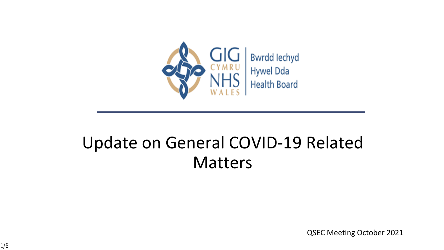

## Update on General COVID-19 Related Matters

QSEC Meeting October 2021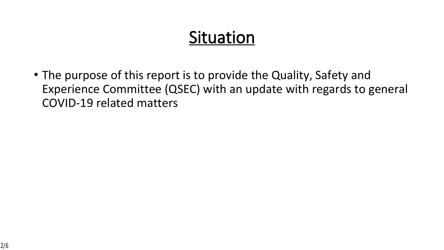# **Situation**

• The purpose of this report is to provide the Quality, Safety and Experience Committee (QSEC) with an update with regards to general COVID-19 related matters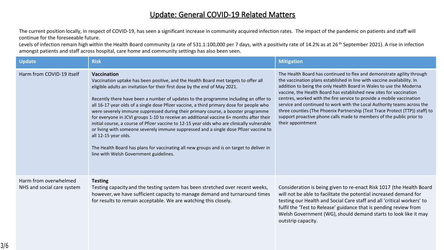#### **Update: General COVID-19 Related Matters**

The current position locally, in respect of COVID-19, has seen a significant increase in community acquired infection rates. The impact of the pandemic on patients and staff will continue for the foreseeable future.

Levels of infection remain high within the Health Board community (a rate of 531.1:100,000 per 7 days, with a positivity rate of 14.2% as at 26<sup>th</sup> September 2021). A rise in infection amongst patients and staff across hospital, care home and community settings has also been seen.

| <b>Update</b>                                       | <b>Risk</b>                                                                                                                                                                                                                                                                                                                                                                                                                                                                                                                                                                                                                                                                                                                                                                                                                                                                                                     | <b>Mitigation</b>                                                                                                                                                                                                                                                                                                                                                                                                                                                                                                                                                                                                                |
|-----------------------------------------------------|-----------------------------------------------------------------------------------------------------------------------------------------------------------------------------------------------------------------------------------------------------------------------------------------------------------------------------------------------------------------------------------------------------------------------------------------------------------------------------------------------------------------------------------------------------------------------------------------------------------------------------------------------------------------------------------------------------------------------------------------------------------------------------------------------------------------------------------------------------------------------------------------------------------------|----------------------------------------------------------------------------------------------------------------------------------------------------------------------------------------------------------------------------------------------------------------------------------------------------------------------------------------------------------------------------------------------------------------------------------------------------------------------------------------------------------------------------------------------------------------------------------------------------------------------------------|
| Harm from COVID-19 itself                           | <b>Vaccination</b><br>Vaccination uptake has been positive, and the Health Board met targets to offer all<br>eligible adults an invitation for their first dose by the end of May 2021.<br>Recently there have been a number of updates to the programme including an offer to<br>all 16-17 year olds of a single dose Pfizer vaccine, a third primary dose for people who<br>were severely immune suppressed during their primary course, a booster programme<br>for everyone in JCVI groups 1-10 to receive an additional vaccine 6+ months after their<br>initial course, a course of Pfizer vaccine to 12-15 year olds who are clinically vulnerable<br>or living with someone severely immune suppressed and a single dose Pfizer vaccine to<br>all 12-15 year olds.<br>The Health Board has plans for vaccinating all new groups and is on target to deliver in<br>line with Welsh Government guidelines. | The Health Board has continued to flex and demonstrate agility through<br>the vaccination plans established in line with vaccine availability. In<br>addition to being the only Health Board in Wales to use the Moderna<br>vaccine, the Health Board has established new sites for vaccination<br>centres, worked with the fire service to provide a mobile vaccination<br>service and continued to work with the Local Authority teams across the<br>three counties (The Phoenix Partnership (Test Trace Protect (TTP)) staff) to<br>support proactive phone calls made to members of the public prior to<br>their appointment |
| Harm from overwhelmed<br>NHS and social care system | <b>Testing</b><br>Testing capacity and the testing system has been stretched over recent weeks,<br>however, we have sufficient capacity to manage demand and turnaround times<br>for results to remain acceptable. We are watching this closely.                                                                                                                                                                                                                                                                                                                                                                                                                                                                                                                                                                                                                                                                | Consideration is being given to re-enact Risk 1017 (the Health Board<br>will not be able to facilitate the potential increased demand for<br>testing our Health and Social Care staff and all 'critical workers' to<br>fulfil the 'Test to Release' guidance that is pending review from<br>Welsh Government (WG), should demand starts to look like it may<br>outstrip capacity.                                                                                                                                                                                                                                                |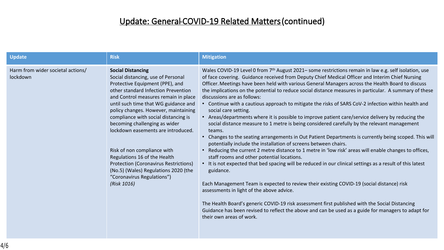### **Update: General COVID-19 Related Matters (continued)**

| <b>Update</b>                                 | <b>Risk</b>                                                                                                                                                                                                                                                                                                                                                                                                                                                                                                                                                                         | <b>Mitigation</b>                                                                                                                                                                                                                                                                                                                                                                                                                                                                                                                                                                                                                                                                                                                                                                                                                                                                                                                                                                                                                                                                                                                                                                                                                                                                                                                                                                                                                                                                                                                                                                                                                                            |
|-----------------------------------------------|-------------------------------------------------------------------------------------------------------------------------------------------------------------------------------------------------------------------------------------------------------------------------------------------------------------------------------------------------------------------------------------------------------------------------------------------------------------------------------------------------------------------------------------------------------------------------------------|--------------------------------------------------------------------------------------------------------------------------------------------------------------------------------------------------------------------------------------------------------------------------------------------------------------------------------------------------------------------------------------------------------------------------------------------------------------------------------------------------------------------------------------------------------------------------------------------------------------------------------------------------------------------------------------------------------------------------------------------------------------------------------------------------------------------------------------------------------------------------------------------------------------------------------------------------------------------------------------------------------------------------------------------------------------------------------------------------------------------------------------------------------------------------------------------------------------------------------------------------------------------------------------------------------------------------------------------------------------------------------------------------------------------------------------------------------------------------------------------------------------------------------------------------------------------------------------------------------------------------------------------------------------|
| Harm from wider societal actions/<br>lockdown | <b>Social Distancing</b><br>Social distancing, use of Personal<br>Protective Equipment (PPE), and<br>other standard Infection Prevention<br>and Control measures remain in place<br>until such time that WG guidance and<br>policy changes. However, maintaining<br>compliance with social distancing is<br>becoming challenging as wider<br>lockdown easements are introduced.<br>Risk of non compliance with<br>Regulations 16 of the Health<br><b>Protection (Coronavirus Restrictions)</b><br>(No.5) (Wales) Regulations 2020 (the<br>"Coronavirus Regulations")<br>(Risk 1016) | Wales COVID-19 Level 0 from 7 <sup>th</sup> August 2021- some restrictions remain in law e.g. self isolation, use<br>of face covering. Guidance received from Deputy Chief Medical Officer and Interim Chief Nursing<br>Officer. Meetings have been held with various General Managers across the Health Board to discuss<br>the implications on the potential to reduce social distance measures in particular. A summary of these<br>discussions are as follows:<br>• Continue with a cautious approach to mitigate the risks of SARS CoV-2 infection within health and<br>social care setting.<br>• Areas/departments where it is possible to improve patient care/service delivery by reducing the<br>social distance measure to 1 metre is being considered carefully by the relevant management<br>teams.<br>• Changes to the seating arrangements in Out Patient Departments is currently being scoped. This will<br>potentially include the installation of screens between chairs.<br>• Reducing the current 2 metre distance to 1 metre in 'low risk' areas will enable changes to offices,<br>staff rooms and other potential locations.<br>• It is not expected that bed spacing will be reduced in our clinical settings as a result of this latest<br>guidance.<br>Each Management Team is expected to review their existing COVID-19 (social distance) risk<br>assessments in light of the above advice.<br>The Health Board's generic COVID-19 risk assessment first published with the Social Distancing<br>Guidance has been revised to reflect the above and can be used as a guide for managers to adapt for<br>their own areas of work. |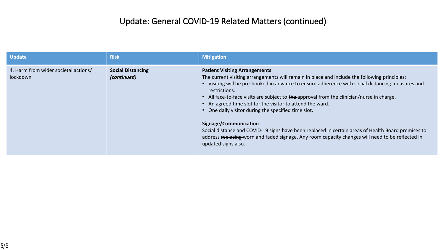### **Update: General COVID-19 Related Matters (continued)**

| <b>Update</b>                                    | <b>Risk</b>                             | <b>Mitigation</b>                                                                                                                                                                                                                                                                                                                                                                                                                                                                                                                                                                                                                                                                                                                    |
|--------------------------------------------------|-----------------------------------------|--------------------------------------------------------------------------------------------------------------------------------------------------------------------------------------------------------------------------------------------------------------------------------------------------------------------------------------------------------------------------------------------------------------------------------------------------------------------------------------------------------------------------------------------------------------------------------------------------------------------------------------------------------------------------------------------------------------------------------------|
| 4. Harm from wider societal actions/<br>lockdown | <b>Social Distancing</b><br>(continued) | <b>Patient Visiting Arrangements</b><br>The current visiting arrangements will remain in place and include the following principles:<br>• Visiting will be pre-booked in advance to ensure adherence with social distancing measures and<br>restrictions.<br>• All face-to-face visits are subject to the approval from the clinician/nurse in charge.<br>• An agreed time slot for the visitor to attend the ward.<br>• One daily visitor during the specified time slot.<br>Signage/Communication<br>Social distance and COVID-19 signs have been replaced in certain areas of Health Board premises to<br>address replacing worn and faded signage. Any room capacity changes will need to be reflected in<br>updated signs also. |